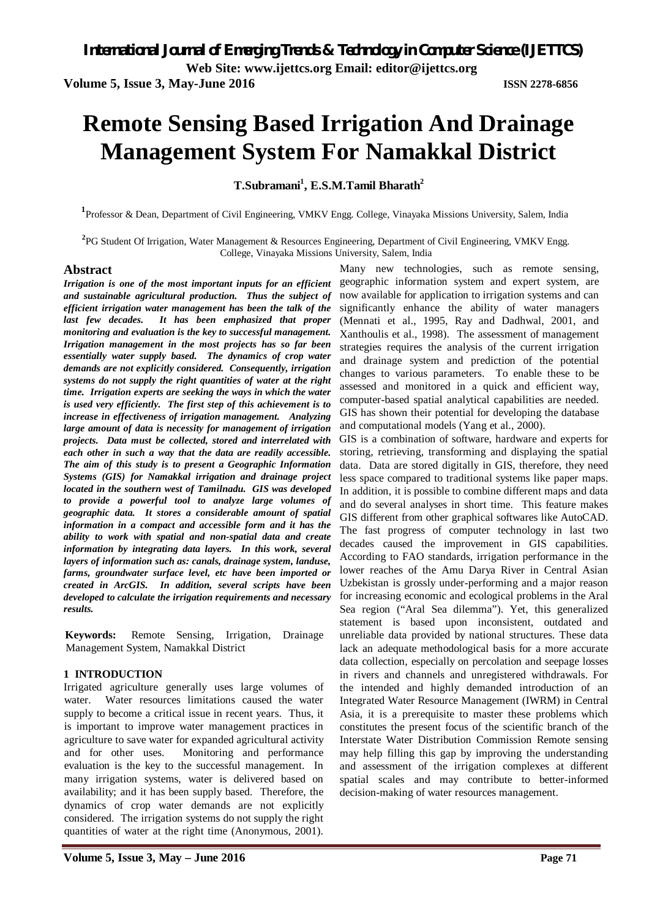**Web Site: www.ijettcs.org Email: editor@ijettcs.org** 

**Volume 5, Issue 3, May-June 2016 ISSN 2278-6856**

# **Remote Sensing Based Irrigation And Drainage Management System For Namakkal District**

**T.Subramani<sup>1</sup> , E.S.M.Tamil Bharath<sup>2</sup>**

**1** Professor & Dean, Department of Civil Engineering, VMKV Engg. College, Vinayaka Missions University, Salem, India

**2** PG Student Of Irrigation, Water Management & Resources Engineering, Department of Civil Engineering, VMKV Engg. College, Vinayaka Missions University, Salem, India

#### **Abstract**

*Irrigation is one of the most important inputs for an efficient and sustainable agricultural production. Thus the subject of efficient irrigation water management has been the talk of the last few decades. It has been emphasized that proper monitoring and evaluation is the key to successful management. Irrigation management in the most projects has so far been essentially water supply based. The dynamics of crop water demands are not explicitly considered. Consequently, irrigation systems do not supply the right quantities of water at the right time. Irrigation experts are seeking the ways in which the water is used very efficiently. The first step of this achievement is to increase in effectiveness of irrigation management. Analyzing large amount of data is necessity for management of irrigation projects. Data must be collected, stored and interrelated with each other in such a way that the data are readily accessible. The aim of this study is to present a Geographic Information Systems (GIS) for Namakkal irrigation and drainage project located in the southern west of Tamilnadu. GIS was developed to provide a powerful tool to analyze large volumes of geographic data. It stores a considerable amount of spatial information in a compact and accessible form and it has the ability to work with spatial and non-spatial data and create information by integrating data layers. In this work, several layers of information such as: canals, drainage system, landuse, farms, groundwater surface level, etc have been imported or created in ArcGIS. In addition, several scripts have been developed to calculate the irrigation requirements and necessary results.*

**Keywords:** Remote Sensing, Irrigation, Drainage Management System, Namakkal District

#### **1 INTRODUCTION**

Irrigated agriculture generally uses large volumes of water. Water resources limitations caused the water supply to become a critical issue in recent years. Thus, it is important to improve water management practices in agriculture to save water for expanded agricultural activity and for other uses. Monitoring and performance evaluation is the key to the successful management. In many irrigation systems, water is delivered based on availability; and it has been supply based. Therefore, the dynamics of crop water demands are not explicitly considered. The irrigation systems do not supply the right quantities of water at the right time (Anonymous, 2001).

Many new technologies, such as remote sensing, geographic information system and expert system, are now available for application to irrigation systems and can significantly enhance the ability of water managers (Mennati et al., 1995, Ray and Dadhwal, 2001, and Xanthoulis et al., 1998). The assessment of management strategies requires the analysis of the current irrigation and drainage system and prediction of the potential changes to various parameters. To enable these to be assessed and monitored in a quick and efficient way, computer-based spatial analytical capabilities are needed. GIS has shown their potential for developing the database and computational models (Yang et al., 2000).

GIS is a combination of software, hardware and experts for storing, retrieving, transforming and displaying the spatial data. Data are stored digitally in GIS, therefore, they need less space compared to traditional systems like paper maps. In addition, it is possible to combine different maps and data and do several analyses in short time. This feature makes GIS different from other graphical softwares like AutoCAD. The fast progress of computer technology in last two decades caused the improvement in GIS capabilities. According to FAO standards, irrigation performance in the lower reaches of the Amu Darya River in Central Asian Uzbekistan is grossly under-performing and a major reason for increasing economic and ecological problems in the Aral Sea region ("Aral Sea dilemma"). Yet, this generalized statement is based upon inconsistent, outdated and unreliable data provided by national structures. These data lack an adequate methodological basis for a more accurate data collection, especially on percolation and seepage losses in rivers and channels and unregistered withdrawals. For the intended and highly demanded introduction of an Integrated Water Resource Management (IWRM) in Central Asia, it is a prerequisite to master these problems which constitutes the present focus of the scientific branch of the Interstate Water Distribution Commission Remote sensing may help filling this gap by improving the understanding and assessment of the irrigation complexes at different spatial scales and may contribute to better-informed decision-making of water resources management.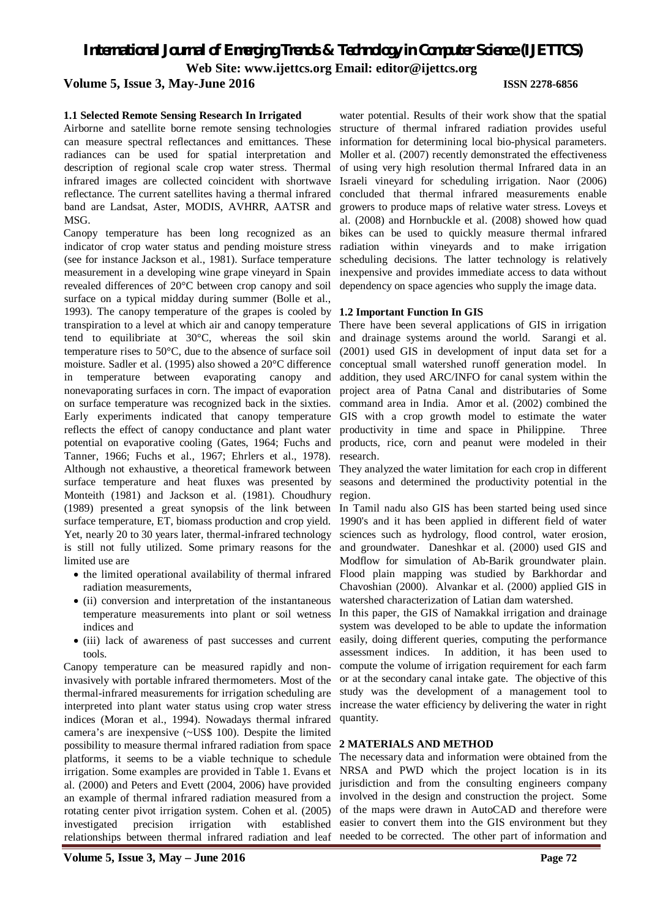### **Volume 5, Issue 3, May-June 2016 ISSN 2278-6856**

#### **1.1 Selected Remote Sensing Research In Irrigated**

Airborne and satellite borne remote sensing technologies can measure spectral reflectances and emittances. These radiances can be used for spatial interpretation and description of regional scale crop water stress. Thermal infrared images are collected coincident with shortwave reflectance. The current satellites having a thermal infrared band are Landsat, Aster, MODIS, AVHRR, AATSR and MSG.

Canopy temperature has been long recognized as an indicator of crop water status and pending moisture stress (see for instance Jackson et al., 1981). Surface temperature measurement in a developing wine grape vineyard in Spain revealed differences of 20°C between crop canopy and soil surface on a typical midday during summer (Bolle et al., 1993). The canopy temperature of the grapes is cooled by transpiration to a level at which air and canopy temperature tend to equilibriate at 30°C, whereas the soil skin temperature rises to 50°C, due to the absence of surface soil moisture. Sadler et al. (1995) also showed a 20°C difference in temperature between evaporating canopy and nonevaporating surfaces in corn. The impact of evaporation on surface temperature was recognized back in the sixties. Early experiments indicated that canopy temperature reflects the effect of canopy conductance and plant water potential on evaporative cooling (Gates, 1964; Fuchs and Tanner, 1966; Fuchs et al., 1967; Ehrlers et al., 1978). Although not exhaustive, a theoretical framework between surface temperature and heat fluxes was presented by Monteith (1981) and Jackson et al. (1981). Choudhury (1989) presented a great synopsis of the link between surface temperature, ET, biomass production and crop yield. Yet, nearly 20 to 30 years later, thermal-infrared technology is still not fully utilized. Some primary reasons for the limited use are

- the limited operational availability of thermal infrared radiation measurements,
- (ii) conversion and interpretation of the instantaneous temperature measurements into plant or soil wetness indices and
- (iii) lack of awareness of past successes and current tools.

Canopy temperature can be measured rapidly and noninvasively with portable infrared thermometers. Most of the thermal-infrared measurements for irrigation scheduling are interpreted into plant water status using crop water stress indices (Moran et al., 1994). Nowadays thermal infrared camera's are inexpensive (~US\$ 100). Despite the limited possibility to measure thermal infrared radiation from space platforms, it seems to be a viable technique to schedule irrigation. Some examples are provided in Table 1. Evans et al. (2000) and Peters and Evett (2004, 2006) have provided an example of thermal infrared radiation measured from a rotating center pivot irrigation system. Cohen et al. (2005) investigated precision irrigation with established relationships between thermal infrared radiation and leaf

water potential. Results of their work show that the spatial structure of thermal infrared radiation provides useful information for determining local bio-physical parameters. Moller et al. (2007) recently demonstrated the effectiveness of using very high resolution thermal Infrared data in an Israeli vineyard for scheduling irrigation. Naor (2006) concluded that thermal infrared measurements enable growers to produce maps of relative water stress. Loveys et al. (2008) and Hornbuckle et al. (2008) showed how quad bikes can be used to quickly measure thermal infrared radiation within vineyards and to make irrigation scheduling decisions. The latter technology is relatively inexpensive and provides immediate access to data without dependency on space agencies who supply the image data.

#### **1.2 Important Function In GIS**

There have been several applications of GIS in irrigation and drainage systems around the world. Sarangi et al. (2001) used GIS in development of input data set for a conceptual small watershed runoff generation model. In addition, they used ARC/INFO for canal system within the project area of Patna Canal and distributaries of Some command area in India. Amor et al. (2002) combined the GIS with a crop growth model to estimate the water productivity in time and space in Philippine. Three products, rice, corn and peanut were modeled in their research.

They analyzed the water limitation for each crop in different seasons and determined the productivity potential in the region.

In Tamil nadu also GIS has been started being used since 1990's and it has been applied in different field of water sciences such as hydrology, flood control, water erosion, and groundwater. Daneshkar et al. (2000) used GIS and Modflow for simulation of Ab-Barik groundwater plain. Flood plain mapping was studied by Barkhordar and Chavoshian (2000). Alvankar et al. (2000) applied GIS in watershed characterization of Latian dam watershed.

In this paper, the GIS of Namakkal irrigation and drainage system was developed to be able to update the information easily, doing different queries, computing the performance assessment indices. In addition, it has been used to compute the volume of irrigation requirement for each farm or at the secondary canal intake gate. The objective of this study was the development of a management tool to increase the water efficiency by delivering the water in right quantity.

#### **2 MATERIALS AND METHOD**

The necessary data and information were obtained from the NRSA and PWD which the project location is in its jurisdiction and from the consulting engineers company involved in the design and construction the project. Some of the maps were drawn in AutoCAD and therefore were easier to convert them into the GIS environment but they needed to be corrected. The other part of information and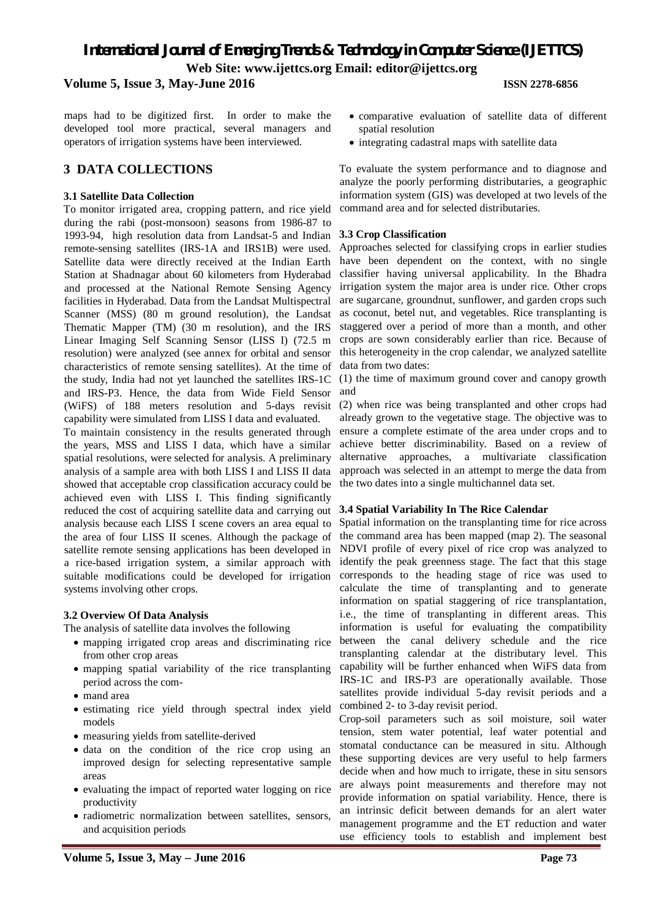**Volume 5, Issue 3, May-June 2016 ISSN 2278-6856**

maps had to be digitized first. In order to make the developed tool more practical, several managers and operators of irrigation systems have been interviewed.

# **3 DATA COLLECTIONS**

#### **3.1 Satellite Data Collection**

To monitor irrigated area, cropping pattern, and rice yield during the rabi (post-monsoon) seasons from 1986-87 to 1993-94, high resolution data from Landsat-5 and Indian remote-sensing satellites (IRS-1A and IRS1B) were used. Satellite data were directly received at the Indian Earth Station at Shadnagar about 60 kilometers from Hyderabad and processed at the National Remote Sensing Agency facilities in Hyderabad. Data from the Landsat Multispectral Scanner (MSS) (80 m ground resolution), the Landsat Thematic Mapper (TM) (30 m resolution), and the IRS Linear Imaging Self Scanning Sensor (LISS I) (72.5 m resolution) were analyzed (see annex for orbital and sensor characteristics of remote sensing satellites). At the time of the study, India had not yet launched the satellites IRS-1C and IRS-P3. Hence, the data from Wide Field Sensor (WiFS) of 188 meters resolution and 5-days revisit capability were simulated from LISS I data and evaluated.

To maintain consistency in the results generated through the years, MSS and LISS I data, which have a similar spatial resolutions, were selected for analysis. A preliminary analysis of a sample area with both LISS I and LISS II data showed that acceptable crop classification accuracy could be achieved even with LISS I. This finding significantly reduced the cost of acquiring satellite data and carrying out analysis because each LISS I scene covers an area equal to the area of four LISS II scenes. Although the package of satellite remote sensing applications has been developed in a rice-based irrigation system, a similar approach with suitable modifications could be developed for irrigation systems involving other crops.

### **3.2 Overview Of Data Analysis**

The analysis of satellite data involves the following

- mapping irrigated crop areas and discriminating rice from other crop areas
- mapping spatial variability of the rice transplanting period across the com-
- mand area
- estimating rice yield through spectral index yield models
- measuring yields from satellite-derived
- data on the condition of the rice crop using an improved design for selecting representative sample areas
- evaluating the impact of reported water logging on rice productivity
- radiometric normalization between satellites, sensors, and acquisition periods
- comparative evaluation of satellite data of different spatial resolution
- integrating cadastral maps with satellite data

To evaluate the system performance and to diagnose and analyze the poorly performing distributaries, a geographic information system (GIS) was developed at two levels of the command area and for selected distributaries.

#### **3.3 Crop Classification**

Approaches selected for classifying crops in earlier studies have been dependent on the context, with no single classifier having universal applicability. In the Bhadra irrigation system the major area is under rice. Other crops are sugarcane, groundnut, sunflower, and garden crops such as coconut, betel nut, and vegetables. Rice transplanting is staggered over a period of more than a month, and other crops are sown considerably earlier than rice. Because of this heterogeneity in the crop calendar, we analyzed satellite data from two dates:

(1) the time of maximum ground cover and canopy growth and

(2) when rice was being transplanted and other crops had already grown to the vegetative stage. The objective was to ensure a complete estimate of the area under crops and to achieve better discriminability. Based on a review of alternative approaches, a multivariate classification approach was selected in an attempt to merge the data from the two dates into a single multichannel data set.

### **3.4 Spatial Variability In The Rice Calendar**

Spatial information on the transplanting time for rice across the command area has been mapped (map 2). The seasonal NDVI profile of every pixel of rice crop was analyzed to identify the peak greenness stage. The fact that this stage corresponds to the heading stage of rice was used to calculate the time of transplanting and to generate information on spatial staggering of rice transplantation, i.e., the time of transplanting in different areas. This information is useful for evaluating the compatibility between the canal delivery schedule and the rice transplanting calendar at the distributary level. This capability will be further enhanced when WiFS data from IRS-1C and IRS-P3 are operationally available. Those satellites provide individual 5-day revisit periods and a combined 2- to 3-day revisit period.

Crop-soil parameters such as soil moisture, soil water tension, stem water potential, leaf water potential and stomatal conductance can be measured in situ. Although these supporting devices are very useful to help farmers decide when and how much to irrigate, these in situ sensors are always point measurements and therefore may not provide information on spatial variability. Hence, there is an intrinsic deficit between demands for an alert water management programme and the ET reduction and water use efficiency tools to establish and implement best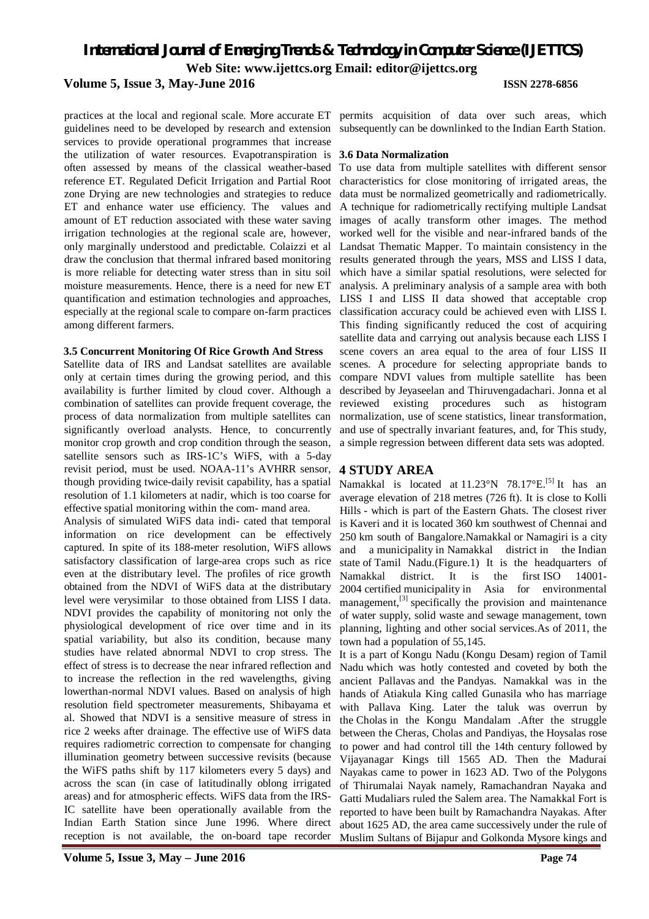# **Volume 5, Issue 3, May-June 2016 ISSN 2278-6856**

practices at the local and regional scale. More accurate ET guidelines need to be developed by research and extension services to provide operational programmes that increase the utilization of water resources. Evapotranspiration is **3.6 Data Normalization** often assessed by means of the classical weather-based reference ET. Regulated Deficit Irrigation and Partial Root zone Drying are new technologies and strategies to reduce ET and enhance water use efficiency. The values and amount of ET reduction associated with these water saving irrigation technologies at the regional scale are, however, only marginally understood and predictable. Colaizzi et al draw the conclusion that thermal infrared based monitoring is more reliable for detecting water stress than in situ soil moisture measurements. Hence, there is a need for new ET quantification and estimation technologies and approaches, especially at the regional scale to compare on-farm practices among different farmers.

#### **3.5 Concurrent Monitoring Of Rice Growth And Stress**

Satellite data of IRS and Landsat satellites are available only at certain times during the growing period, and this availability is further limited by cloud cover. Although a combination of satellites can provide frequent coverage, the process of data normalization from multiple satellites can significantly overload analysts. Hence, to concurrently monitor crop growth and crop condition through the season, satellite sensors such as IRS-1C's WiFS, with a 5-day revisit period, must be used. NOAA-11's AVHRR sensor, though providing twice-daily revisit capability, has a spatial resolution of 1.1 kilometers at nadir, which is too coarse for effective spatial monitoring within the com- mand area.

Analysis of simulated WiFS data indi- cated that temporal information on rice development can be effectively captured. In spite of its 188-meter resolution, WiFS allows satisfactory classification of large-area crops such as rice even at the distributary level. The profiles of rice growth obtained from the NDVI of WiFS data at the distributary level were verysimilar to those obtained from LISS I data. NDVI provides the capability of monitoring not only the physiological development of rice over time and in its spatial variability, but also its condition, because many studies have related abnormal NDVI to crop stress. The effect of stress is to decrease the near infrared reflection and to increase the reflection in the red wavelengths, giving lowerthan-normal NDVI values. Based on analysis of high resolution field spectrometer measurements, Shibayama et al. Showed that NDVI is a sensitive measure of stress in rice 2 weeks after drainage. The effective use of WiFS data requires radiometric correction to compensate for changing illumination geometry between successive revisits (because the WiFS paths shift by 117 kilometers every 5 days) and across the scan (in case of latitudinally oblong irrigated areas) and for atmospheric effects. WiFS data from the IRS-IC satellite have been operationally available from the Indian Earth Station since June 1996. Where direct reception is not available, the on-board tape recorder

permits acquisition of data over such areas, which subsequently can be downlinked to the Indian Earth Station.

To use data from multiple satellites with different sensor characteristics for close monitoring of irrigated areas, the data must be normalized geometrically and radiometrically. A technique for radiometrically rectifying multiple Landsat images of acally transform other images. The method worked well for the visible and near-infrared bands of the Landsat Thematic Mapper. To maintain consistency in the results generated through the years, MSS and LISS I data, which have a similar spatial resolutions, were selected for analysis. A preliminary analysis of a sample area with both LISS I and LISS II data showed that acceptable crop classification accuracy could be achieved even with LISS I. This finding significantly reduced the cost of acquiring satellite data and carrying out analysis because each LISS I scene covers an area equal to the area of four LISS II scenes. A procedure for selecting appropriate bands to compare NDVI values from multiple satellite has been described by Jeyaseelan and Thiruvengadachari. Jonna et al reviewed existing procedures such as histogram normalization, use of scene statistics, linear transformation, and use of spectrally invariant features, and, for This study, a simple regression between different data sets was adopted.

# **4 STUDY AREA**

Namakkal is located at 11.23°N 78.17°E.<sup>[5]</sup> It has an average elevation of 218 metres (726 ft). It is close to Kolli Hills - which is part of the Eastern Ghats. The closest river is Kaveri and it is located 360 km southwest of Chennai and 250 km south of Bangalore.Namakkal or Namagiri is a city and a municipality in Namakkal district in the Indian state of Tamil Nadu.(Figure.1) It is the headquarters of Namakkal district. It is the first ISO 14001- 2004 certified municipality in Asia for environmental management, $^{[3]}$  specifically the provision and maintenance of water supply, solid waste and sewage management, town planning, lighting and other social services.As of 2011, the town had a population of 55,145.

It is a part of Kongu Nadu (Kongu Desam) region of Tamil Nadu which was hotly contested and coveted by both the ancient Pallavas and the Pandyas. Namakkal was in the hands of Atiakula King called Gunasila who has marriage with Pallava King. Later the taluk was overrun by the Cholas in the Kongu Mandalam .After the struggle between the Cheras, Cholas and Pandiyas, the Hoysalas rose to power and had control till the 14th century followed by Vijayanagar Kings till 1565 AD. Then the Madurai Nayakas came to power in 1623 AD. Two of the Polygons of Thirumalai Nayak namely, Ramachandran Nayaka and Gatti Mudaliars ruled the Salem area. The Namakkal Fort is reported to have been built by Ramachandra Nayakas. After about 1625 AD, the area came successively under the rule of Muslim Sultans of Bijapur and Golkonda Mysore kings and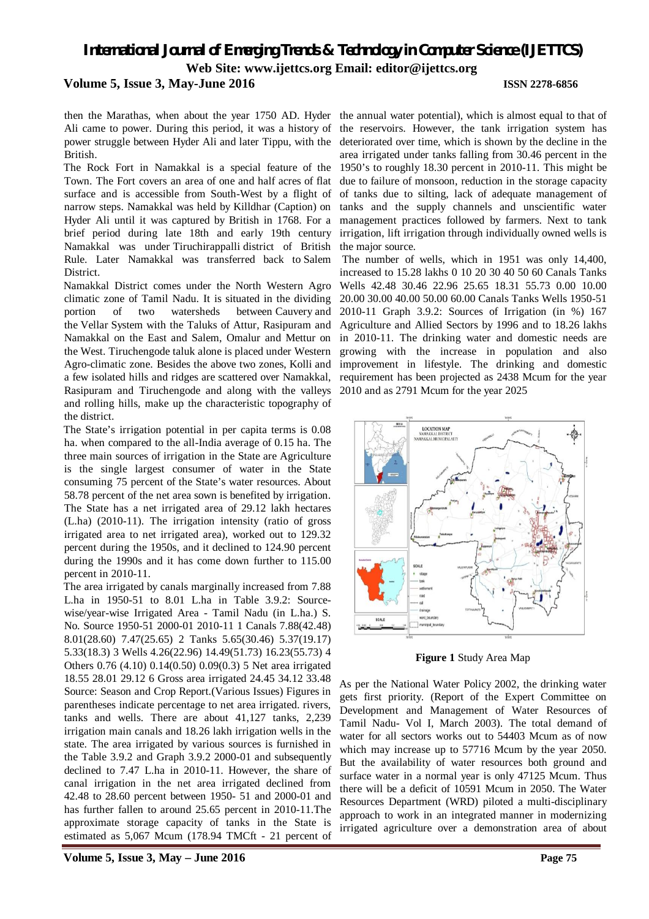#### **Volume 5, Issue 3, May-June 2016 ISSN 2278-6856**

then the Marathas, when about the year 1750 AD. Hyder the annual water potential), which is almost equal to that of Ali came to power. During this period, it was a history of power struggle between Hyder Ali and later Tippu, with the British.

The Rock Fort in Namakkal is a special feature of the 1950's to roughly 18.30 percent in 2010-11. This might be Town. The Fort covers an area of one and half acres of flat surface and is accessible from South-West by a flight of narrow steps. Namakkal was held by Killdhar (Caption) on Hyder Ali until it was captured by British in 1768. For a brief period during late 18th and early 19th century Namakkal was under Tiruchirappalli district of British Rule. Later Namakkal was transferred back to Salem District.

Namakkal District comes under the North Western Agro climatic zone of Tamil Nadu. It is situated in the dividing portion of two watersheds between Cauvery and the Vellar System with the Taluks of Attur, Rasipuram and Namakkal on the East and Salem, Omalur and Mettur on the West. Tiruchengode taluk alone is placed under Western Agro-climatic zone. Besides the above two zones, Kolli and a few isolated hills and ridges are scattered over Namakkal, Rasipuram and Tiruchengode and along with the valleys and rolling hills, make up the characteristic topography of the district.

The State's irrigation potential in per capita terms is 0.08 ha. when compared to the all-India average of 0.15 ha. The three main sources of irrigation in the State are Agriculture is the single largest consumer of water in the State consuming 75 percent of the State's water resources. About 58.78 percent of the net area sown is benefited by irrigation. The State has a net irrigated area of 29.12 lakh hectares (L.ha) (2010-11). The irrigation intensity (ratio of gross irrigated area to net irrigated area), worked out to 129.32 percent during the 1950s, and it declined to 124.90 percent during the 1990s and it has come down further to 115.00 percent in 2010-11.

The area irrigated by canals marginally increased from 7.88 L.ha in 1950-51 to 8.01 L.ha in Table 3.9.2: Sourcewise/year-wise Irrigated Area - Tamil Nadu (in L.ha.) S. No. Source 1950-51 2000-01 2010-11 1 Canals 7.88(42.48) 8.01(28.60) 7.47(25.65) 2 Tanks 5.65(30.46) 5.37(19.17) 5.33(18.3) 3 Wells 4.26(22.96) 14.49(51.73) 16.23(55.73) 4 Others 0.76 (4.10) 0.14(0.50) 0.09(0.3) 5 Net area irrigated 18.55 28.01 29.12 6 Gross area irrigated 24.45 34.12 33.48 Source: Season and Crop Report.(Various Issues) Figures in parentheses indicate percentage to net area irrigated. rivers, tanks and wells. There are about 41,127 tanks, 2,239 irrigation main canals and 18.26 lakh irrigation wells in the state. The area irrigated by various sources is furnished in the Table 3.9.2 and Graph 3.9.2 2000-01 and subsequently declined to 7.47 L.ha in 2010-11. However, the share of canal irrigation in the net area irrigated declined from 42.48 to 28.60 percent between 1950- 51 and 2000-01 and has further fallen to around 25.65 percent in 2010-11.The approximate storage capacity of tanks in the State is estimated as 5,067 Mcum (178.94 TMCft - 21 percent of

the reservoirs. However, the tank irrigation system has deteriorated over time, which is shown by the decline in the area irrigated under tanks falling from 30.46 percent in the due to failure of monsoon, reduction in the storage capacity of tanks due to silting, lack of adequate management of tanks and the supply channels and unscientific water management practices followed by farmers. Next to tank irrigation, lift irrigation through individually owned wells is the major source.

The number of wells, which in 1951 was only 14,400, increased to 15.28 lakhs 0 10 20 30 40 50 60 Canals Tanks Wells 42.48 30.46 22.96 25.65 18.31 55.73 0.00 10.00 20.00 30.00 40.00 50.00 60.00 Canals Tanks Wells 1950-51 2010-11 Graph 3.9.2: Sources of Irrigation (in %) 167 Agriculture and Allied Sectors by 1996 and to 18.26 lakhs in 2010-11. The drinking water and domestic needs are growing with the increase in population and also improvement in lifestyle. The drinking and domestic requirement has been projected as 2438 Mcum for the year 2010 and as 2791 Mcum for the year 2025



**Figure 1** Study Area Map

As per the National Water Policy 2002, the drinking water gets first priority. (Report of the Expert Committee on Development and Management of Water Resources of Tamil Nadu- Vol I, March 2003). The total demand of water for all sectors works out to 54403 Mcum as of now which may increase up to 57716 Mcum by the year 2050. But the availability of water resources both ground and surface water in a normal year is only 47125 Mcum. Thus there will be a deficit of 10591 Mcum in 2050. The Water Resources Department (WRD) piloted a multi-disciplinary approach to work in an integrated manner in modernizing irrigated agriculture over a demonstration area of about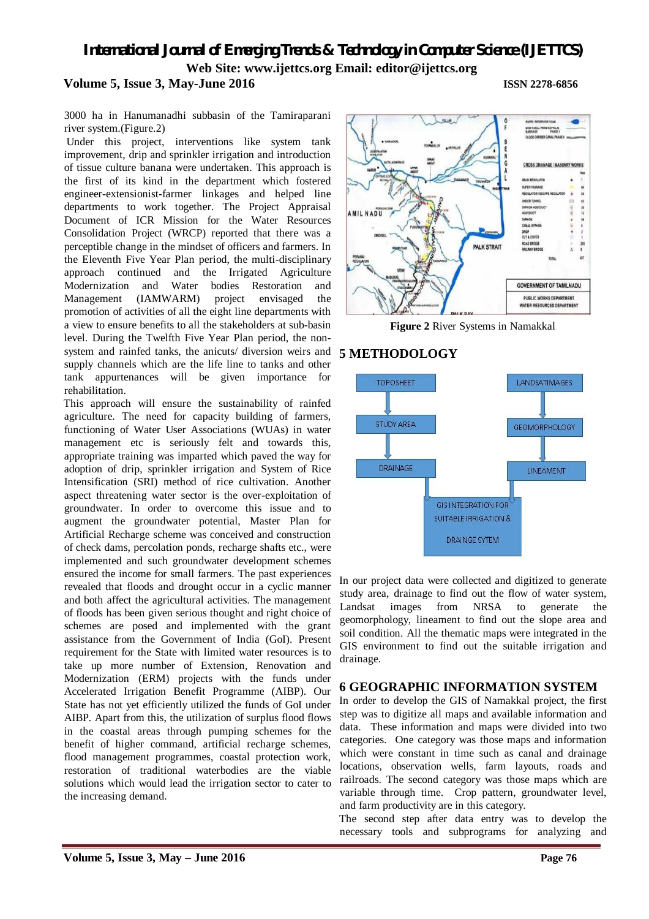# *International Journal of Emerging Trends & Technology in Computer Science (IJETTCS)* **Web Site: www.ijettcs.org Email: editor@ijettcs.org Volume 5, Issue 3, May-June 2016 ISSN 2278-6856**

3000 ha in Hanumanadhi subbasin of the Tamiraparani river system.(Figure.2)

Under this project, interventions like system tank improvement, drip and sprinkler irrigation and introduction of tissue culture banana were undertaken. This approach is the first of its kind in the department which fostered engineer-extensionist-farmer linkages and helped line departments to work together. The Project Appraisal Document of ICR Mission for the Water Resources Consolidation Project (WRCP) reported that there was a perceptible change in the mindset of officers and farmers. In the Eleventh Five Year Plan period, the multi-disciplinary approach continued and the Irrigated Agriculture Modernization and Water bodies Restoration and Management (IAMWARM) project envisaged the promotion of activities of all the eight line departments with a view to ensure benefits to all the stakeholders at sub-basin level. During the Twelfth Five Year Plan period, the nonsystem and rainfed tanks, the anicuts/ diversion weirs and **5 METHODOLOGY** supply channels which are the life line to tanks and other tank appurtenances will be given importance for rehabilitation.

This approach will ensure the sustainability of rainfed agriculture. The need for capacity building of farmers, functioning of Water User Associations (WUAs) in water management etc is seriously felt and towards this, appropriate training was imparted which paved the way for adoption of drip, sprinkler irrigation and System of Rice Intensification (SRI) method of rice cultivation. Another aspect threatening water sector is the over-exploitation of groundwater. In order to overcome this issue and to augment the groundwater potential, Master Plan for Artificial Recharge scheme was conceived and construction of check dams, percolation ponds, recharge shafts etc., were implemented and such groundwater development schemes ensured the income for small farmers. The past experiences revealed that floods and drought occur in a cyclic manner and both affect the agricultural activities. The management of floods has been given serious thought and right choice of schemes are posed and implemented with the grant assistance from the Government of India (GoI). Present requirement for the State with limited water resources is to take up more number of Extension, Renovation and Modernization (ERM) projects with the funds under Accelerated Irrigation Benefit Programme (AIBP). Our State has not yet efficiently utilized the funds of GoI under AIBP. Apart from this, the utilization of surplus flood flows in the coastal areas through pumping schemes for the benefit of higher command, artificial recharge schemes, flood management programmes, coastal protection work, restoration of traditional waterbodies are the viable solutions which would lead the irrigation sector to cater to the increasing demand.



**Figure 2** River Systems in Namakkal



In our project data were collected and digitized to generate study area, drainage to find out the flow of water system, Landsat images from NRSA to generate the geomorphology, lineament to find out the slope area and soil condition. All the thematic maps were integrated in the GIS environment to find out the suitable irrigation and drainage.

# **6 GEOGRAPHIC INFORMATION SYSTEM**

In order to develop the GIS of Namakkal project, the first step was to digitize all maps and available information and data. These information and maps were divided into two categories. One category was those maps and information which were constant in time such as canal and drainage locations, observation wells, farm layouts, roads and railroads. The second category was those maps which are variable through time. Crop pattern, groundwater level, and farm productivity are in this category.

The second step after data entry was to develop the necessary tools and subprograms for analyzing and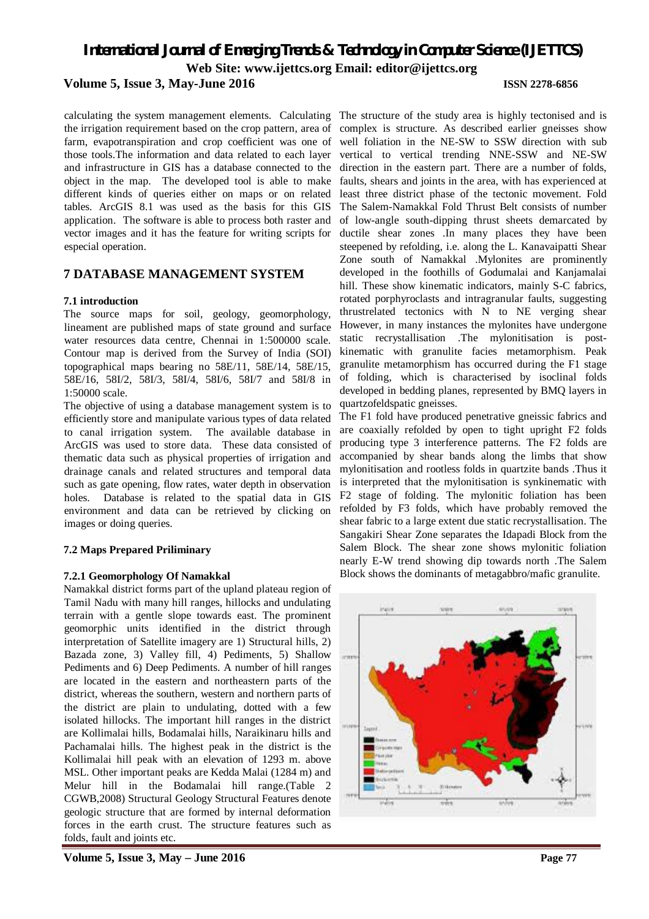### **Volume 5, Issue 3, May-June 2016 ISSN 2278-6856**

calculating the system management elements. Calculating the irrigation requirement based on the crop pattern, area of farm, evapotranspiration and crop coefficient was one of those tools.The information and data related to each layer and infrastructure in GIS has a database connected to the object in the map. The developed tool is able to make different kinds of queries either on maps or on related tables. ArcGIS 8.1 was used as the basis for this GIS application. The software is able to process both raster and vector images and it has the feature for writing scripts for especial operation.

## **7 DATABASE MANAGEMENT SYSTEM**

#### **7.1 introduction**

The source maps for soil, geology, geomorphology, lineament are published maps of state ground and surface water resources data centre, Chennai in 1:500000 scale. Contour map is derived from the Survey of India (SOI) topographical maps bearing no 58E/11, 58E/14, 58E/15, 58E/16, 58I/2, 58I/3, 58I/4, 58I/6, 58I/7 and 58I/8 in 1:50000 scale.

The objective of using a database management system is to efficiently store and manipulate various types of data related to canal irrigation system. The available database in ArcGIS was used to store data. These data consisted of thematic data such as physical properties of irrigation and drainage canals and related structures and temporal data such as gate opening, flow rates, water depth in observation holes. Database is related to the spatial data in GIS environment and data can be retrieved by clicking on images or doing queries.

### **7.2 Maps Prepared Priliminary**

### **7.2.1 Geomorphology Of Namakkal**

Namakkal district forms part of the upland plateau region of Tamil Nadu with many hill ranges, hillocks and undulating terrain with a gentle slope towards east. The prominent geomorphic units identified in the district through interpretation of Satellite imagery are 1) Structural hills, 2) Bazada zone, 3) Valley fill, 4) Pediments, 5) Shallow Pediments and 6) Deep Pediments. A number of hill ranges are located in the eastern and northeastern parts of the district, whereas the southern, western and northern parts of the district are plain to undulating, dotted with a few isolated hillocks. The important hill ranges in the district are Kollimalai hills, Bodamalai hills, Naraikinaru hills and Pachamalai hills. The highest peak in the district is the Kollimalai hill peak with an elevation of 1293 m. above MSL. Other important peaks are Kedda Malai (1284 m) and Melur hill in the Bodamalai hill range.(Table 2 CGWB,2008) Structural Geology Structural Features denote geologic structure that are formed by internal deformation forces in the earth crust. The structure features such as folds, fault and joints etc.

The structure of the study area is highly tectonised and is complex is structure. As described earlier gneisses show well foliation in the NE-SW to SSW direction with sub vertical to vertical trending NNE-SSW and NE-SW direction in the eastern part. There are a number of folds, faults, shears and joints in the area, with has experienced at least three district phase of the tectonic movement. Fold The Salem-Namakkal Fold Thrust Belt consists of number of low-angle south-dipping thrust sheets demarcated by ductile shear zones .In many places they have been steepened by refolding, i.e. along the L. Kanavaipatti Shear Zone south of Namakkal .Mylonites are prominently developed in the foothills of Godumalai and Kanjamalai hill. These show kinematic indicators, mainly S-C fabrics, rotated porphyroclasts and intragranular faults, suggesting thrustrelated tectonics with N to NE verging shear However, in many instances the mylonites have undergone static recrystallisation .The mylonitisation is postkinematic with granulite facies metamorphism. Peak granulite metamorphism has occurred during the F1 stage of folding, which is characterised by isoclinal folds developed in bedding planes, represented by BMQ layers in quartzofeldspatic gneisses.

The F1 fold have produced penetrative gneissic fabrics and are coaxially refolded by open to tight upright F2 folds producing type 3 interference patterns. The F2 folds are accompanied by shear bands along the limbs that show mylonitisation and rootless folds in quartzite bands .Thus it is interpreted that the mylonitisation is synkinematic with F2 stage of folding. The mylonitic foliation has been refolded by F3 folds, which have probably removed the shear fabric to a large extent due static recrystallisation. The Sangakiri Shear Zone separates the Idapadi Block from the Salem Block. The shear zone shows mylonitic foliation nearly E-W trend showing dip towards north .The Salem Block shows the dominants of metagabbro/mafic granulite.

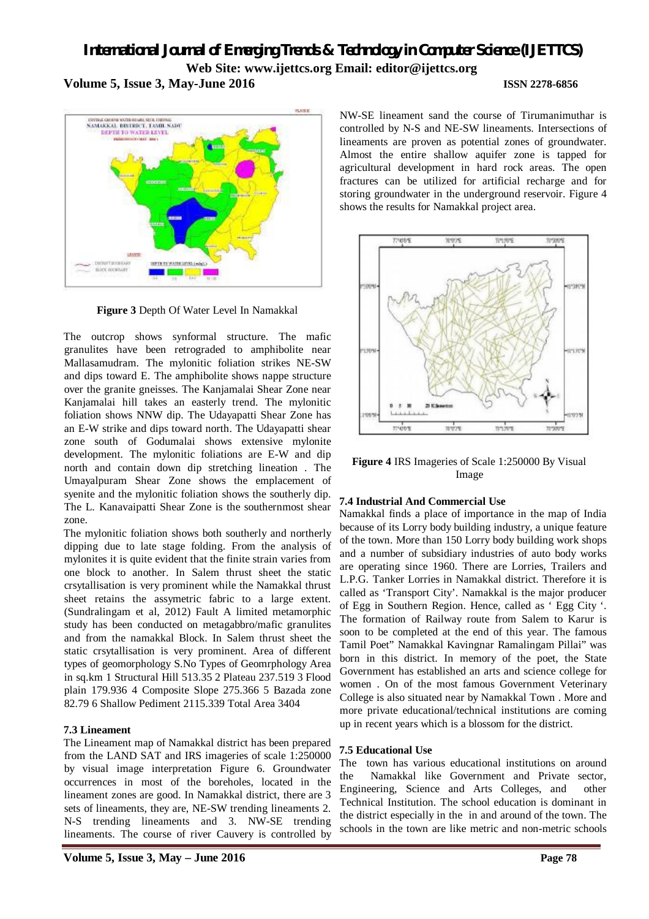*International Journal of Emerging Trends & Technology in Computer Science (IJETTCS)* **Web Site: www.ijettcs.org Email: editor@ijettcs.org Volume 5, Issue 3, May-June 2016 ISSN 2278-6856**



**Figure 3** Depth Of Water Level In Namakkal

The outcrop shows synformal structure. The mafic granulites have been retrograded to amphibolite near Mallasamudram. The mylonitic foliation strikes NE-SW and dips toward E. The amphibolite shows nappe structure over the granite gneisses. The Kanjamalai Shear Zone near Kanjamalai hill takes an easterly trend. The mylonitic foliation shows NNW dip. The Udayapatti Shear Zone has an E-W strike and dips toward north. The Udayapatti shear zone south of Godumalai shows extensive mylonite development. The mylonitic foliations are E-W and dip north and contain down dip stretching lineation . The Umayalpuram Shear Zone shows the emplacement of syenite and the mylonitic foliation shows the southerly dip. The L. Kanavaipatti Shear Zone is the southernmost shear zone.

The mylonitic foliation shows both southerly and northerly dipping due to late stage folding. From the analysis of mylonites it is quite evident that the finite strain varies from one block to another. In Salem thrust sheet the static crsytallisation is very prominent while the Namakkal thrust sheet retains the assymetric fabric to a large extent. (Sundralingam et al, 2012) Fault A limited metamorphic study has been conducted on metagabbro/mafic granulites and from the namakkal Block. In Salem thrust sheet the static crsytallisation is very prominent. Area of different types of geomorphology S.No Types of Geomrphology Area in sq.km 1 Structural Hill 513.35 2 Plateau 237.519 3 Flood plain 179.936 4 Composite Slope 275.366 5 Bazada zone 82.79 6 Shallow Pediment 2115.339 Total Area 3404

### **7.3 Lineament**

The Lineament map of Namakkal district has been prepared from the LAND SAT and IRS imageries of scale 1:250000 by visual image interpretation Figure 6. Groundwater occurrences in most of the boreholes, located in the lineament zones are good. In Namakkal district, there are 3 sets of lineaments, they are, NE-SW trending lineaments 2. N-S trending lineaments and 3. NW-SE trending lineaments. The course of river Cauvery is controlled by

NW-SE lineament sand the course of Tirumanimuthar is controlled by N-S and NE-SW lineaments. Intersections of lineaments are proven as potential zones of groundwater. Almost the entire shallow aquifer zone is tapped for agricultural development in hard rock areas. The open fractures can be utilized for artificial recharge and for storing groundwater in the underground reservoir. Figure 4 shows the results for Namakkal project area.



**Figure 4** IRS Imageries of Scale 1:250000 By Visual Image

#### **7.4 Industrial And Commercial Use**

Namakkal finds a place of importance in the map of India because of its Lorry body building industry, a unique feature of the town. More than 150 Lorry body building work shops and a number of subsidiary industries of auto body works are operating since 1960. There are Lorries, Trailers and L.P.G. Tanker Lorries in Namakkal district. Therefore it is called as 'Transport City'. Namakkal is the major producer of Egg in Southern Region. Hence, called as ' Egg City '. The formation of Railway route from Salem to Karur is soon to be completed at the end of this year. The famous Tamil Poet" Namakkal Kavingnar Ramalingam Pillai" was born in this district. In memory of the poet, the State Government has established an arts and science college for women . On of the most famous Government Veterinary College is also situated near by Namakkal Town . More and more private educational/technical institutions are coming up in recent years which is a blossom for the district.

### **7.5 Educational Use**

The town has various educational institutions on around the Namakkal like Government and Private sector, Engineering, Science and Arts Colleges, and other Technical Institution. The school education is dominant in the district especially in the in and around of the town. The schools in the town are like metric and non-metric schools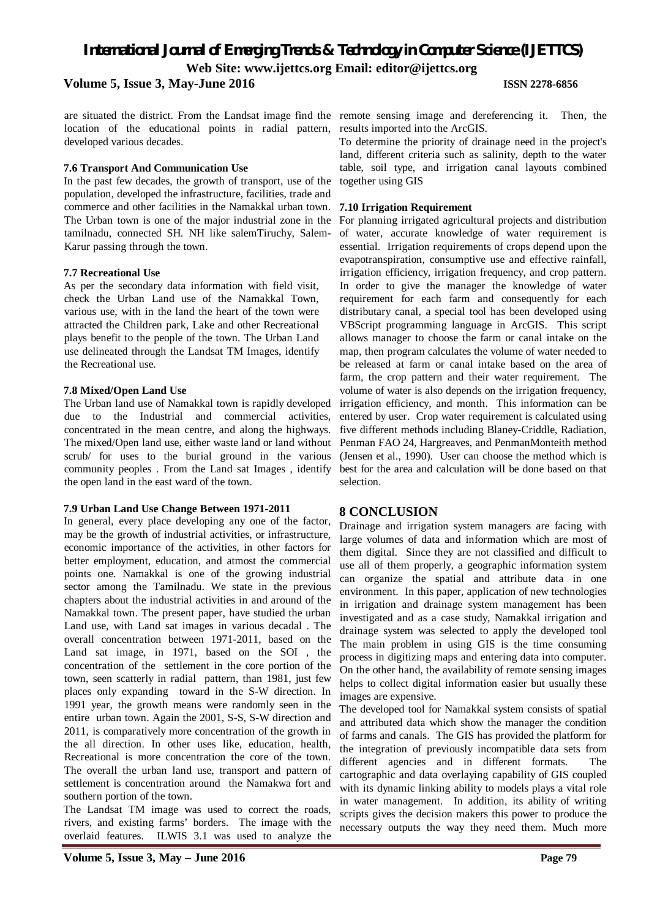#### **Volume 5, Issue 3, May-June 2016 ISSN 2278-6856**

are situated the district. From the Landsat image find the remote sensing image and dereferencing it. Then, the location of the educational points in radial pattern, results imported into the ArcGIS. developed various decades.

# **7.6 Transport And Communication Use**

In the past few decades, the growth of transport, use of the population, developed the infrastructure, facilities, trade and commerce and other facilities in the Namakkal urban town. The Urban town is one of the major industrial zone in the tamilnadu, connected SH. NH like salemTiruchy, Salem-Karur passing through the town.

# **7.7 Recreational Use**

As per the secondary data information with field visit, check the Urban Land use of the Namakkal Town, various use, with in the land the heart of the town were attracted the Children park, Lake and other Recreational plays benefit to the people of the town. The Urban Land use delineated through the Landsat TM Images, identify the Recreational use.

# **7.8 Mixed/Open Land Use**

The Urban land use of Namakkal town is rapidly developed due to the Industrial and commercial activities, concentrated in the mean centre, and along the highways. The mixed/Open land use, either waste land or land without scrub/ for uses to the burial ground in the various community peoples . From the Land sat Images , identify the open land in the east ward of the town.

# **7.9 Urban Land Use Change Between 1971-2011**

In general, every place developing any one of the factor, may be the growth of industrial activities, or infrastructure, economic importance of the activities, in other factors for better employment, education, and atmost the commercial points one. Namakkal is one of the growing industrial sector among the Tamilnadu. We state in the previous chapters about the industrial activities in and around of the Namakkal town. The present paper, have studied the urban Land use, with Land sat images in various decadal . The overall concentration between 1971-2011, based on the Land sat image, in 1971, based on the SOI , the concentration of the settlement in the core portion of the town, seen scatterly in radial pattern, than 1981, just few places only expanding toward in the S-W direction. In 1991 year, the growth means were randomly seen in the entire urban town. Again the 2001, S-S, S-W direction and 2011, is comparatively more concentration of the growth in the all direction. In other uses like, education, health, Recreational is more concentration the core of the town. The overall the urban land use, transport and pattern of settlement is concentration around the Namakwa fort and southern portion of the town.

The Landsat TM image was used to correct the roads, rivers, and existing farms' borders. The image with the overlaid features. ILWIS 3.1 was used to analyze the

To determine the priority of drainage need in the project's

land, different criteria such as salinity, depth to the water table, soil type, and irrigation canal layouts combined together using GIS

### **7.10 Irrigation Requirement**

For planning irrigated agricultural projects and distribution of water, accurate knowledge of water requirement is essential. Irrigation requirements of crops depend upon the evapotranspiration, consumptive use and effective rainfall, irrigation efficiency, irrigation frequency, and crop pattern. In order to give the manager the knowledge of water requirement for each farm and consequently for each distributary canal, a special tool has been developed using VBScript programming language in ArcGIS. This script allows manager to choose the farm or canal intake on the map, then program calculates the volume of water needed to be released at farm or canal intake based on the area of farm, the crop pattern and their water requirement. The volume of water is also depends on the irrigation frequency, irrigation efficiency, and month. This information can be entered by user. Crop water requirement is calculated using five different methods including Blaney-Criddle, Radiation, Penman FAO 24, Hargreaves, and PenmanMonteith method (Jensen et al., 1990). User can choose the method which is best for the area and calculation will be done based on that selection.

# **8 CONCLUSION**

Drainage and irrigation system managers are facing with large volumes of data and information which are most of them digital. Since they are not classified and difficult to use all of them properly, a geographic information system can organize the spatial and attribute data in one environment. In this paper, application of new technologies in irrigation and drainage system management has been investigated and as a case study, Namakkal irrigation and drainage system was selected to apply the developed tool The main problem in using GIS is the time consuming process in digitizing maps and entering data into computer. On the other hand, the availability of remote sensing images helps to collect digital information easier but usually these images are expensive.

The developed tool for Namakkal system consists of spatial and attributed data which show the manager the condition of farms and canals. The GIS has provided the platform for the integration of previously incompatible data sets from different agencies and in different formats. The cartographic and data overlaying capability of GIS coupled with its dynamic linking ability to models plays a vital role in water management. In addition, its ability of writing scripts gives the decision makers this power to produce the necessary outputs the way they need them. Much more